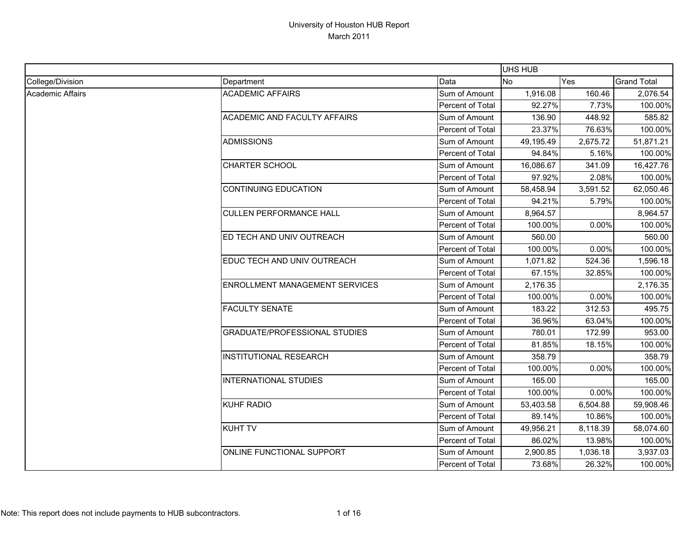|                         |                                       |                  | UHS HUB   |          |                    |
|-------------------------|---------------------------------------|------------------|-----------|----------|--------------------|
| College/Division        | Department                            | Data             | <b>No</b> | Yes      | <b>Grand Total</b> |
| <b>Academic Affairs</b> | <b>ACADEMIC AFFAIRS</b>               | Sum of Amount    | 1,916.08  | 160.46   | 2,076.54           |
|                         |                                       | Percent of Total | 92.27%    | 7.73%    | 100.00%            |
|                         | ACADEMIC AND FACULTY AFFAIRS          | Sum of Amount    | 136.90    | 448.92   | 585.82             |
|                         |                                       | Percent of Total | 23.37%    | 76.63%   | 100.00%            |
|                         | <b>ADMISSIONS</b>                     | Sum of Amount    | 49,195.49 | 2,675.72 | 51,871.21          |
|                         |                                       | Percent of Total | 94.84%    | 5.16%    | 100.00%            |
|                         | <b>CHARTER SCHOOL</b>                 | Sum of Amount    | 16,086.67 | 341.09   | 16,427.76          |
|                         |                                       | Percent of Total | 97.92%    | 2.08%    | 100.00%            |
|                         | <b>CONTINUING EDUCATION</b>           | Sum of Amount    | 58,458.94 | 3,591.52 | 62,050.46          |
|                         |                                       | Percent of Total | 94.21%    | 5.79%    | 100.00%            |
|                         | <b>CULLEN PERFORMANCE HALL</b>        | Sum of Amount    | 8,964.57  |          | 8,964.57           |
|                         |                                       | Percent of Total | 100.00%   | 0.00%    | 100.00%            |
|                         | ED TECH AND UNIV OUTREACH             | Sum of Amount    | 560.00    |          | 560.00             |
|                         |                                       | Percent of Total | 100.00%   | 0.00%    | 100.00%            |
|                         | EDUC TECH AND UNIV OUTREACH           | Sum of Amount    | 1,071.82  | 524.36   | 1,596.18           |
|                         |                                       | Percent of Total | 67.15%    | 32.85%   | 100.00%            |
|                         | <b>ENROLLMENT MANAGEMENT SERVICES</b> | Sum of Amount    | 2,176.35  |          | 2,176.35           |
|                         |                                       | Percent of Total | 100.00%   | 0.00%    | 100.00%            |
|                         | <b>FACULTY SENATE</b>                 | Sum of Amount    | 183.22    | 312.53   | 495.75             |
|                         |                                       | Percent of Total | 36.96%    | 63.04%   | 100.00%            |
|                         | <b>GRADUATE/PROFESSIONAL STUDIES</b>  | Sum of Amount    | 780.01    | 172.99   | 953.00             |
|                         |                                       | Percent of Total | 81.85%    | 18.15%   | 100.00%            |
|                         | <b>INSTITUTIONAL RESEARCH</b>         | Sum of Amount    | 358.79    |          | 358.79             |
|                         |                                       | Percent of Total | 100.00%   | 0.00%    | 100.00%            |
|                         | <b>INTERNATIONAL STUDIES</b>          | Sum of Amount    | 165.00    |          | 165.00             |
|                         |                                       | Percent of Total | 100.00%   | 0.00%    | 100.00%            |
|                         | <b>KUHF RADIO</b>                     | Sum of Amount    | 53,403.58 | 6,504.88 | 59,908.46          |
|                         |                                       | Percent of Total | 89.14%    | 10.86%   | 100.00%            |
|                         | <b>KUHT TV</b>                        | Sum of Amount    | 49,956.21 | 8,118.39 | 58,074.60          |
|                         |                                       | Percent of Total | 86.02%    | 13.98%   | 100.00%            |
|                         | ONLINE FUNCTIONAL SUPPORT             | Sum of Amount    | 2,900.85  | 1,036.18 | 3,937.03           |
|                         |                                       | Percent of Total | 73.68%    | 26.32%   | 100.00%            |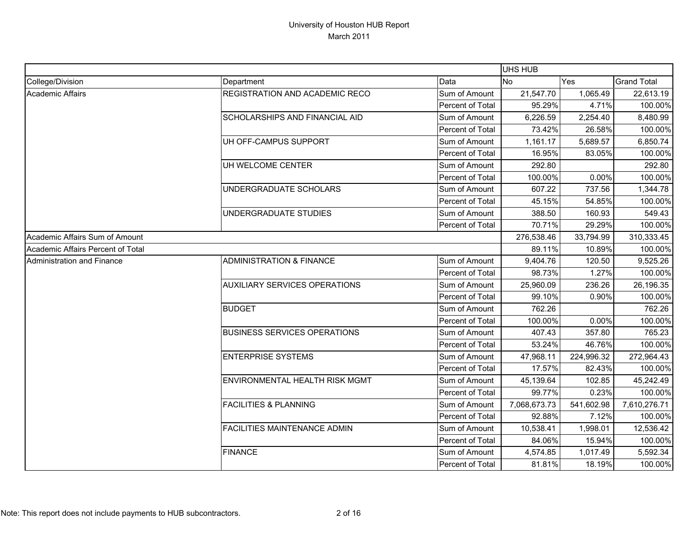|                                   |                                      |                  | UHS HUB      |            |                    |
|-----------------------------------|--------------------------------------|------------------|--------------|------------|--------------------|
| College/Division                  | Department                           | Data             | <b>No</b>    | Yes        | <b>Grand Total</b> |
| <b>Academic Affairs</b>           | REGISTRATION AND ACADEMIC RECO       | Sum of Amount    | 21,547.70    | 1,065.49   | 22,613.19          |
|                                   |                                      | Percent of Total | 95.29%       | 4.71%      | 100.00%            |
|                                   | SCHOLARSHIPS AND FINANCIAL AID       | Sum of Amount    | 6,226.59     | 2,254.40   | 8,480.99           |
|                                   |                                      | Percent of Total | 73.42%       | 26.58%     | 100.00%            |
|                                   | UH OFF-CAMPUS SUPPORT                | Sum of Amount    | 1,161.17     | 5,689.57   | 6,850.74           |
|                                   |                                      | Percent of Total | 16.95%       | 83.05%     | 100.00%            |
|                                   | UH WELCOME CENTER                    | Sum of Amount    | 292.80       |            | 292.80             |
|                                   |                                      | Percent of Total | 100.00%      | 0.00%      | 100.00%            |
|                                   | UNDERGRADUATE SCHOLARS               | Sum of Amount    | 607.22       | 737.56     | 1,344.78           |
|                                   |                                      | Percent of Total | 45.15%       | 54.85%     | 100.00%            |
|                                   | UNDERGRADUATE STUDIES                | Sum of Amount    | 388.50       | 160.93     | 549.43             |
|                                   |                                      | Percent of Total | 70.71%       | 29.29%     | 100.00%            |
| Academic Affairs Sum of Amount    |                                      |                  | 276,538.46   | 33,794.99  | 310,333.45         |
| Academic Affairs Percent of Total |                                      |                  | 89.11%       | 10.89%     | 100.00%            |
| <b>Administration and Finance</b> | <b>ADMINISTRATION &amp; FINANCE</b>  | Sum of Amount    | 9,404.76     | 120.50     | 9,525.26           |
|                                   |                                      | Percent of Total | 98.73%       | 1.27%      | 100.00%            |
|                                   | <b>AUXILIARY SERVICES OPERATIONS</b> | Sum of Amount    | 25,960.09    | 236.26     | 26,196.35          |
|                                   |                                      | Percent of Total | 99.10%       | 0.90%      | 100.00%            |
|                                   | <b>BUDGET</b>                        | Sum of Amount    | 762.26       |            | 762.26             |
|                                   |                                      | Percent of Total | 100.00%      | 0.00%      | 100.00%            |
|                                   | <b>BUSINESS SERVICES OPERATIONS</b>  | Sum of Amount    | 407.43       | 357.80     | 765.23             |
|                                   |                                      | Percent of Total | 53.24%       | 46.76%     | 100.00%            |
|                                   | <b>ENTERPRISE SYSTEMS</b>            | Sum of Amount    | 47,968.11    | 224,996.32 | 272,964.43         |
|                                   |                                      | Percent of Total | 17.57%       | 82.43%     | 100.00%            |
|                                   | ENVIRONMENTAL HEALTH RISK MGMT       | Sum of Amount    | 45,139.64    | 102.85     | 45,242.49          |
|                                   |                                      | Percent of Total | 99.77%       | 0.23%      | 100.00%            |
|                                   | <b>FACILITIES &amp; PLANNING</b>     | Sum of Amount    | 7,068,673.73 | 541,602.98 | 7,610,276.71       |
|                                   |                                      | Percent of Total | 92.88%       | 7.12%      | 100.00%            |
|                                   | <b>FACILITIES MAINTENANCE ADMIN</b>  | Sum of Amount    | 10,538.41    | 1,998.01   | 12,536.42          |
|                                   |                                      | Percent of Total | 84.06%       | 15.94%     | 100.00%            |
|                                   | <b>FINANCE</b>                       | Sum of Amount    | 4,574.85     | 1,017.49   | 5,592.34           |
|                                   |                                      | Percent of Total | 81.81%       | 18.19%     | 100.00%            |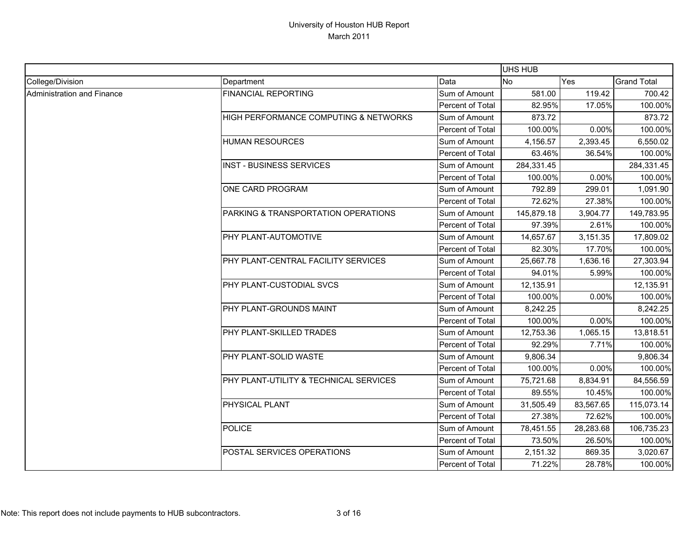|                            |                                        |                  | UHS HUB    |           |                    |
|----------------------------|----------------------------------------|------------------|------------|-----------|--------------------|
| College/Division           | Department                             | Data             | <b>No</b>  | Yes       | <b>Grand Total</b> |
| Administration and Finance | <b>FINANCIAL REPORTING</b>             | Sum of Amount    | 581.00     | 119.42    | 700.42             |
|                            |                                        | Percent of Total | 82.95%     | 17.05%    | 100.00%            |
|                            | HIGH PERFORMANCE COMPUTING & NETWORKS  | Sum of Amount    | 873.72     |           | 873.72             |
|                            |                                        | Percent of Total | 100.00%    | 0.00%     | 100.00%            |
|                            | <b>HUMAN RESOURCES</b>                 | Sum of Amount    | 4,156.57   | 2,393.45  | 6,550.02           |
|                            |                                        | Percent of Total | 63.46%     | 36.54%    | 100.00%            |
|                            | <b>INST - BUSINESS SERVICES</b>        | Sum of Amount    | 284,331.45 |           | 284,331.45         |
|                            |                                        | Percent of Total | 100.00%    | 0.00%     | 100.00%            |
|                            | ONE CARD PROGRAM                       | Sum of Amount    | 792.89     | 299.01    | 1,091.90           |
|                            |                                        | Percent of Total | 72.62%     | 27.38%    | 100.00%            |
|                            | PARKING & TRANSPORTATION OPERATIONS    | Sum of Amount    | 145,879.18 | 3,904.77  | 149,783.95         |
|                            |                                        | Percent of Total | 97.39%     | 2.61%     | 100.00%            |
|                            | PHY PLANT-AUTOMOTIVE                   | Sum of Amount    | 14,657.67  | 3,151.35  | 17,809.02          |
|                            |                                        | Percent of Total | 82.30%     | 17.70%    | 100.00%            |
|                            | PHY PLANT-CENTRAL FACILITY SERVICES    | Sum of Amount    | 25,667.78  | 1,636.16  | 27,303.94          |
|                            |                                        | Percent of Total | 94.01%     | 5.99%     | 100.00%            |
|                            | PHY PLANT-CUSTODIAL SVCS               | Sum of Amount    | 12,135.91  |           | 12,135.91          |
|                            |                                        | Percent of Total | 100.00%    | 0.00%     | 100.00%            |
|                            | PHY PLANT-GROUNDS MAINT                | Sum of Amount    | 8,242.25   |           | 8,242.25           |
|                            |                                        | Percent of Total | 100.00%    | 0.00%     | 100.00%            |
|                            | PHY PLANT-SKILLED TRADES               | Sum of Amount    | 12,753.36  | 1,065.15  | 13,818.51          |
|                            |                                        | Percent of Total | 92.29%     | 7.71%     | 100.00%            |
|                            | PHY PLANT-SOLID WASTE                  | Sum of Amount    | 9,806.34   |           | 9,806.34           |
|                            |                                        | Percent of Total | 100.00%    | 0.00%     | 100.00%            |
|                            | PHY PLANT-UTILITY & TECHNICAL SERVICES | Sum of Amount    | 75,721.68  | 8,834.91  | 84,556.59          |
|                            |                                        | Percent of Total | 89.55%     | 10.45%    | 100.00%            |
|                            | PHYSICAL PLANT                         | Sum of Amount    | 31,505.49  | 83,567.65 | 115,073.14         |
|                            |                                        | Percent of Total | 27.38%     | 72.62%    | 100.00%            |
|                            | <b>POLICE</b>                          | Sum of Amount    | 78,451.55  | 28,283.68 | 106,735.23         |
|                            |                                        | Percent of Total | 73.50%     | 26.50%    | 100.00%            |
|                            | POSTAL SERVICES OPERATIONS             | Sum of Amount    | 2,151.32   | 869.35    | 3,020.67           |
|                            |                                        | Percent of Total | 71.22%     | 28.78%    | 100.00%            |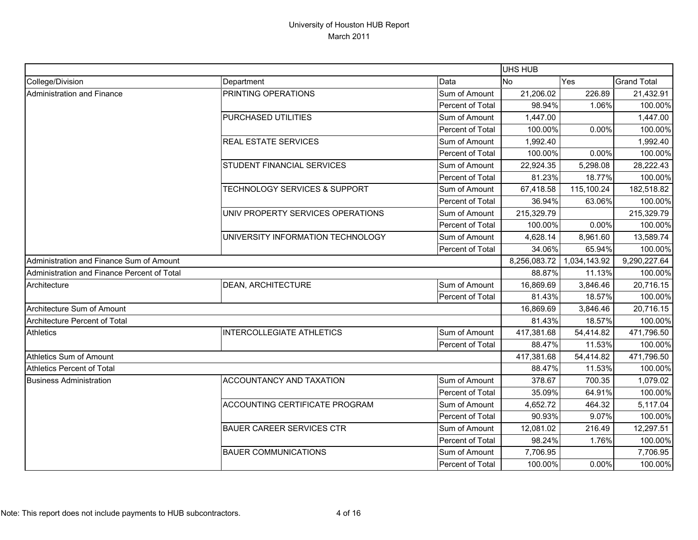|                                             |                                   |                  | UHS HUB      |              |                    |
|---------------------------------------------|-----------------------------------|------------------|--------------|--------------|--------------------|
| College/Division                            | Department                        | Data             | No           | Yes          | <b>Grand Total</b> |
| Administration and Finance                  | PRINTING OPERATIONS               | Sum of Amount    | 21,206.02    | 226.89       | 21,432.91          |
|                                             |                                   | Percent of Total | 98.94%       | 1.06%        | 100.00%            |
|                                             | PURCHASED UTILITIES               | Sum of Amount    | 1,447.00     |              | 1,447.00           |
|                                             |                                   | Percent of Total | 100.00%      | 0.00%        | 100.00%            |
|                                             | <b>REAL ESTATE SERVICES</b>       | Sum of Amount    | 1,992.40     |              | 1,992.40           |
|                                             |                                   | Percent of Total | 100.00%      | 0.00%        | 100.00%            |
|                                             | STUDENT FINANCIAL SERVICES        | Sum of Amount    | 22,924.35    | 5,298.08     | 28,222.43          |
|                                             |                                   | Percent of Total | 81.23%       | 18.77%       | 100.00%            |
|                                             | TECHNOLOGY SERVICES & SUPPORT     | Sum of Amount    | 67,418.58    | 115,100.24   | 182,518.82         |
|                                             |                                   | Percent of Total | 36.94%       | 63.06%       | 100.00%            |
|                                             | UNIV PROPERTY SERVICES OPERATIONS | Sum of Amount    | 215,329.79   |              | 215,329.79         |
|                                             |                                   | Percent of Total | 100.00%      | 0.00%        | 100.00%            |
|                                             | UNIVERSITY INFORMATION TECHNOLOGY | Sum of Amount    | 4,628.14     | 8,961.60     | 13,589.74          |
|                                             |                                   | Percent of Total | 34.06%       | 65.94%       | 100.00%            |
| Administration and Finance Sum of Amount    |                                   |                  | 8,256,083.72 | 1,034,143.92 | 9,290,227.64       |
| Administration and Finance Percent of Total |                                   |                  | 88.87%       | 11.13%       | 100.00%            |
| Architecture                                | <b>DEAN, ARCHITECTURE</b>         | Sum of Amount    | 16,869.69    | 3,846.46     | 20,716.15          |
|                                             |                                   | Percent of Total | 81.43%       | 18.57%       | 100.00%            |
| Architecture Sum of Amount                  |                                   |                  | 16,869.69    | 3,846.46     | 20,716.15          |
| Architecture Percent of Total               |                                   |                  | 81.43%       | 18.57%       | 100.00%            |
| <b>Athletics</b>                            | <b>INTERCOLLEGIATE ATHLETICS</b>  | Sum of Amount    | 417,381.68   | 54,414.82    | 471,796.50         |
|                                             |                                   | Percent of Total | 88.47%       | 11.53%       | 100.00%            |
| Athletics Sum of Amount                     |                                   |                  | 417,381.68   | 54,414.82    | 471,796.50         |
| <b>Athletics Percent of Total</b>           |                                   |                  | 88.47%       | 11.53%       | 100.00%            |
| <b>Business Administration</b>              | ACCOUNTANCY AND TAXATION          | Sum of Amount    | 378.67       | 700.35       | 1,079.02           |
|                                             |                                   | Percent of Total | 35.09%       | 64.91%       | 100.00%            |
|                                             | ACCOUNTING CERTIFICATE PROGRAM    | Sum of Amount    | 4,652.72     | 464.32       | 5,117.04           |
|                                             |                                   | Percent of Total | 90.93%       | 9.07%        | 100.00%            |
|                                             | <b>BAUER CAREER SERVICES CTR</b>  | Sum of Amount    | 12,081.02    | 216.49       | 12,297.51          |
|                                             |                                   | Percent of Total | 98.24%       | 1.76%        | 100.00%            |
|                                             | <b>BAUER COMMUNICATIONS</b>       | Sum of Amount    | 7,706.95     |              | 7,706.95           |
|                                             |                                   | Percent of Total | 100.00%      | 0.00%        | 100.00%            |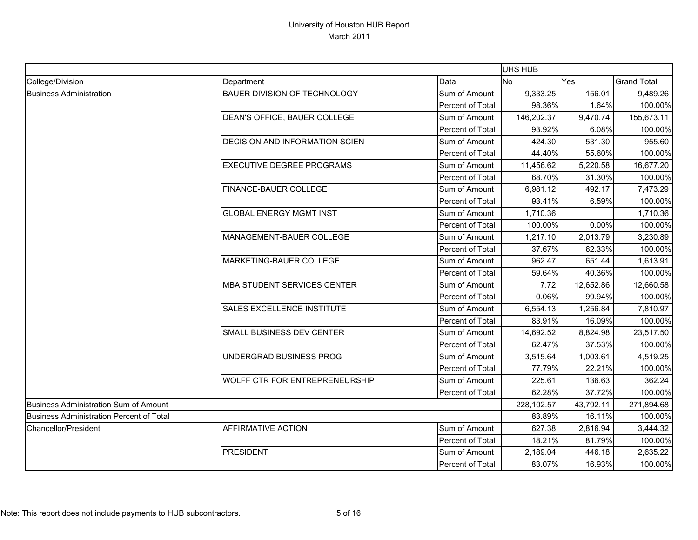|                                          |                                       |                         | <b>UHS HUB</b> |           |                    |
|------------------------------------------|---------------------------------------|-------------------------|----------------|-----------|--------------------|
| College/Division                         | Department                            | Data                    | <b>No</b>      | Yes       | <b>Grand Total</b> |
| <b>Business Administration</b>           | <b>BAUER DIVISION OF TECHNOLOGY</b>   | Sum of Amount           | 9,333.25       | 156.01    | 9,489.26           |
|                                          |                                       | Percent of Total        | 98.36%         | 1.64%     | 100.00%            |
|                                          | DEAN'S OFFICE, BAUER COLLEGE          | Sum of Amount           | 146,202.37     | 9,470.74  | 155,673.11         |
|                                          |                                       | Percent of Total        | 93.92%         | 6.08%     | 100.00%            |
|                                          | <b>DECISION AND INFORMATION SCIEN</b> | Sum of Amount           | 424.30         | 531.30    | 955.60             |
|                                          |                                       | Percent of Total        | 44.40%         | 55.60%    | 100.00%            |
|                                          | <b>EXECUTIVE DEGREE PROGRAMS</b>      | Sum of Amount           | 11,456.62      | 5,220.58  | 16,677.20          |
|                                          |                                       | Percent of Total        | 68.70%         | 31.30%    | 100.00%            |
|                                          | FINANCE-BAUER COLLEGE                 | Sum of Amount           | 6,981.12       | 492.17    | 7,473.29           |
|                                          |                                       | Percent of Total        | 93.41%         | 6.59%     | 100.00%            |
|                                          | <b>GLOBAL ENERGY MGMT INST</b>        | Sum of Amount           | 1,710.36       |           | 1,710.36           |
|                                          |                                       | Percent of Total        | 100.00%        | 0.00%     | 100.00%            |
|                                          | MANAGEMENT-BAUER COLLEGE              | Sum of Amount           | 1,217.10       | 2,013.79  | 3,230.89           |
|                                          |                                       | Percent of Total        | 37.67%         | 62.33%    | 100.00%            |
|                                          | MARKETING-BAUER COLLEGE               | Sum of Amount           | 962.47         | 651.44    | 1,613.91           |
|                                          |                                       | Percent of Total        | 59.64%         | 40.36%    | 100.00%            |
|                                          | <b>MBA STUDENT SERVICES CENTER</b>    | Sum of Amount           | 7.72           | 12,652.86 | 12,660.58          |
|                                          |                                       | Percent of Total        | 0.06%          | 99.94%    | 100.00%            |
|                                          | SALES EXCELLENCE INSTITUTE            | Sum of Amount           | 6,554.13       | 1,256.84  | 7,810.97           |
|                                          |                                       | Percent of Total        | 83.91%         | 16.09%    | 100.00%            |
|                                          | SMALL BUSINESS DEV CENTER             | Sum of Amount           | 14,692.52      | 8,824.98  | 23,517.50          |
|                                          |                                       | Percent of Total        | 62.47%         | 37.53%    | 100.00%            |
|                                          | UNDERGRAD BUSINESS PROG               | Sum of Amount           | 3,515.64       | 1,003.61  | 4,519.25           |
|                                          |                                       | Percent of Total        | 77.79%         | 22.21%    | 100.00%            |
|                                          | <b>WOLFF CTR FOR ENTREPRENEURSHIP</b> | Sum of Amount           | 225.61         | 136.63    | 362.24             |
|                                          |                                       | Percent of Total        | 62.28%         | 37.72%    | 100.00%            |
| Business Administration Sum of Amount    |                                       |                         | 228,102.57     | 43,792.11 | 271,894.68         |
| Business Administration Percent of Total |                                       |                         | 83.89%         | 16.11%    | 100.00%            |
| <b>Chancellor/President</b>              | <b>AFFIRMATIVE ACTION</b>             | Sum of Amount           | 627.38         | 2,816.94  | 3,444.32           |
|                                          |                                       | Percent of Total        | 18.21%         | 81.79%    | 100.00%            |
|                                          | <b>PRESIDENT</b>                      | Sum of Amount           | 2,189.04       | 446.18    | 2,635.22           |
|                                          |                                       | <b>Percent of Total</b> | 83.07%         | 16.93%    | 100.00%            |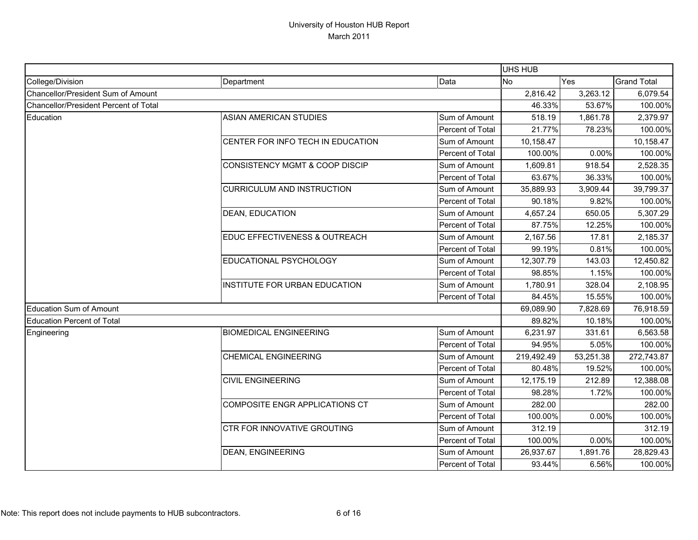|                                       |                                           |                  | UHS HUB    |           |                    |
|---------------------------------------|-------------------------------------------|------------------|------------|-----------|--------------------|
| College/Division                      | Department                                | Data             | <b>No</b>  | Yes       | <b>Grand Total</b> |
| Chancellor/President Sum of Amount    |                                           |                  | 2,816.42   | 3,263.12  | 6,079.54           |
| Chancellor/President Percent of Total |                                           |                  | 46.33%     | 53.67%    | 100.00%            |
| Education                             | ASIAN AMERICAN STUDIES                    | Sum of Amount    | 518.19     | 1,861.78  | 2,379.97           |
|                                       |                                           | Percent of Total | 21.77%     | 78.23%    | 100.00%            |
|                                       | CENTER FOR INFO TECH IN EDUCATION         | Sum of Amount    | 10,158.47  |           | 10,158.47          |
|                                       |                                           | Percent of Total | 100.00%    | 0.00%     | 100.00%            |
|                                       | <b>CONSISTENCY MGMT &amp; COOP DISCIP</b> | Sum of Amount    | 1,609.81   | 918.54    | 2,528.35           |
|                                       |                                           | Percent of Total | 63.67%     | 36.33%    | 100.00%            |
|                                       | <b>CURRICULUM AND INSTRUCTION</b>         | Sum of Amount    | 35,889.93  | 3,909.44  | 39,799.37          |
|                                       |                                           | Percent of Total | 90.18%     | 9.82%     | 100.00%            |
|                                       | <b>DEAN, EDUCATION</b>                    | Sum of Amount    | 4,657.24   | 650.05    | 5,307.29           |
|                                       |                                           | Percent of Total | 87.75%     | 12.25%    | 100.00%            |
|                                       | EDUC EFFECTIVENESS & OUTREACH             | Sum of Amount    | 2,167.56   | 17.81     | 2,185.37           |
|                                       |                                           | Percent of Total | 99.19%     | 0.81%     | 100.00%            |
|                                       | EDUCATIONAL PSYCHOLOGY                    | Sum of Amount    | 12,307.79  | 143.03    | 12,450.82          |
|                                       |                                           | Percent of Total | 98.85%     | 1.15%     | 100.00%            |
|                                       | INSTITUTE FOR URBAN EDUCATION             | Sum of Amount    | 1,780.91   | 328.04    | 2,108.95           |
|                                       |                                           | Percent of Total | 84.45%     | 15.55%    | 100.00%            |
| <b>Education Sum of Amount</b>        |                                           |                  | 69,089.90  | 7,828.69  | 76,918.59          |
| <b>Education Percent of Total</b>     |                                           |                  | 89.82%     | 10.18%    | 100.00%            |
| Engineering                           | <b>BIOMEDICAL ENGINEERING</b>             | Sum of Amount    | 6,231.97   | 331.61    | 6,563.58           |
|                                       |                                           | Percent of Total | 94.95%     | 5.05%     | 100.00%            |
|                                       | <b>CHEMICAL ENGINEERING</b>               | Sum of Amount    | 219,492.49 | 53,251.38 | 272,743.87         |
|                                       |                                           | Percent of Total | 80.48%     | 19.52%    | 100.00%            |
|                                       | <b>CIVIL ENGINEERING</b>                  | Sum of Amount    | 12,175.19  | 212.89    | 12,388.08          |
|                                       |                                           | Percent of Total | 98.28%     | 1.72%     | 100.00%            |
|                                       | COMPOSITE ENGR APPLICATIONS CT            | Sum of Amount    | 282.00     |           | 282.00             |
|                                       |                                           | Percent of Total | 100.00%    | 0.00%     | 100.00%            |
|                                       | CTR FOR INNOVATIVE GROUTING               | Sum of Amount    | 312.19     |           | 312.19             |
|                                       |                                           | Percent of Total | 100.00%    | 0.00%     | 100.00%            |
|                                       | DEAN, ENGINEERING                         | Sum of Amount    | 26,937.67  | 1,891.76  | 28,829.43          |
|                                       |                                           | Percent of Total | 93.44%     | 6.56%     | 100.00%            |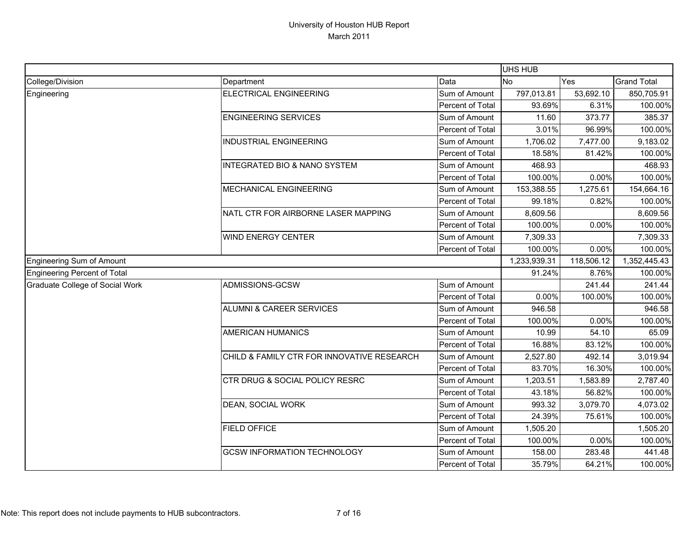|                                 |                                            |                  | UHS HUB      |            |                    |
|---------------------------------|--------------------------------------------|------------------|--------------|------------|--------------------|
| College/Division                | Department                                 | Data             | <b>No</b>    | Yes        | <b>Grand Total</b> |
| Engineering                     | <b>ELECTRICAL ENGINEERING</b>              | Sum of Amount    | 797,013.81   | 53,692.10  | 850,705.91         |
|                                 |                                            | Percent of Total | 93.69%       | 6.31%      | 100.00%            |
|                                 | <b>ENGINEERING SERVICES</b>                | Sum of Amount    | 11.60        | 373.77     | 385.37             |
|                                 |                                            | Percent of Total | 3.01%        | 96.99%     | 100.00%            |
|                                 | <b>INDUSTRIAL ENGINEERING</b>              | Sum of Amount    | 1,706.02     | 7,477.00   | 9,183.02           |
|                                 |                                            | Percent of Total | 18.58%       | 81.42%     | 100.00%            |
|                                 | INTEGRATED BIO & NANO SYSTEM               | Sum of Amount    | 468.93       |            | 468.93             |
|                                 |                                            | Percent of Total | 100.00%      | 0.00%      | 100.00%            |
|                                 | MECHANICAL ENGINEERING                     | Sum of Amount    | 153,388.55   | 1,275.61   | 154,664.16         |
|                                 |                                            | Percent of Total | 99.18%       | 0.82%      | 100.00%            |
|                                 | NATL CTR FOR AIRBORNE LASER MAPPING        | Sum of Amount    | 8,609.56     |            | 8,609.56           |
|                                 |                                            | Percent of Total | 100.00%      | 0.00%      | 100.00%            |
|                                 | WIND ENERGY CENTER                         | Sum of Amount    | 7,309.33     |            | 7,309.33           |
|                                 |                                            | Percent of Total | 100.00%      | 0.00%      | 100.00%            |
| Engineering Sum of Amount       |                                            |                  | 1,233,939.31 | 118,506.12 | 1,352,445.43       |
| Engineering Percent of Total    |                                            |                  | 91.24%       | 8.76%      | 100.00%            |
| Graduate College of Social Work | ADMISSIONS-GCSW                            | Sum of Amount    |              | 241.44     | 241.44             |
|                                 |                                            | Percent of Total | 0.00%        | 100.00%    | 100.00%            |
|                                 | <b>ALUMNI &amp; CAREER SERVICES</b>        | Sum of Amount    | 946.58       |            | 946.58             |
|                                 |                                            | Percent of Total | 100.00%      | 0.00%      | 100.00%            |
|                                 | <b>AMERICAN HUMANICS</b>                   | Sum of Amount    | 10.99        | 54.10      | 65.09              |
|                                 |                                            | Percent of Total | 16.88%       | 83.12%     | 100.00%            |
|                                 | CHILD & FAMILY CTR FOR INNOVATIVE RESEARCH | Sum of Amount    | 2,527.80     | 492.14     | 3,019.94           |
|                                 |                                            | Percent of Total | 83.70%       | 16.30%     | 100.00%            |
|                                 | CTR DRUG & SOCIAL POLICY RESRC             | Sum of Amount    | 1,203.51     | 1,583.89   | 2,787.40           |
|                                 |                                            | Percent of Total | 43.18%       | 56.82%     | 100.00%            |
|                                 | DEAN, SOCIAL WORK                          | Sum of Amount    | 993.32       | 3,079.70   | 4,073.02           |
|                                 |                                            | Percent of Total | 24.39%       | 75.61%     | 100.00%            |
|                                 | <b>FIELD OFFICE</b>                        | Sum of Amount    | 1,505.20     |            | 1,505.20           |
|                                 |                                            | Percent of Total | 100.00%      | 0.00%      | 100.00%            |
|                                 | <b>GCSW INFORMATION TECHNOLOGY</b>         | Sum of Amount    | 158.00       | 283.48     | 441.48             |
|                                 |                                            | Percent of Total | 35.79%       | 64.21%     | 100.00%            |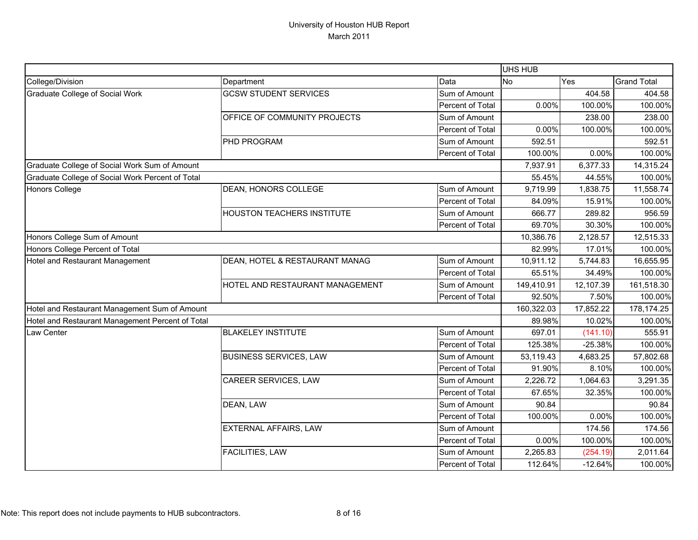|                                                  |                                   |                         | <b>UHS HUB</b> |           |                    |
|--------------------------------------------------|-----------------------------------|-------------------------|----------------|-----------|--------------------|
| College/Division                                 | Department                        | Data                    | <b>No</b>      | Yes       | <b>Grand Total</b> |
| Graduate College of Social Work                  | <b>GCSW STUDENT SERVICES</b>      | Sum of Amount           |                | 404.58    | 404.58             |
|                                                  |                                   | Percent of Total        | 0.00%          | 100.00%   | 100.00%            |
|                                                  | OFFICE OF COMMUNITY PROJECTS      | Sum of Amount           |                | 238.00    | 238.00             |
|                                                  |                                   | Percent of Total        | 0.00%          | 100.00%   | 100.00%            |
|                                                  | PHD PROGRAM                       | Sum of Amount           | 592.51         |           | 592.51             |
|                                                  |                                   | <b>Percent of Total</b> | 100.00%        | 0.00%     | 100.00%            |
| Graduate College of Social Work Sum of Amount    |                                   |                         | 7,937.91       | 6,377.33  | 14,315.24          |
| Graduate College of Social Work Percent of Total |                                   |                         | 55.45%         | 44.55%    | 100.00%            |
| <b>Honors College</b>                            | DEAN, HONORS COLLEGE              | Sum of Amount           | 9,719.99       | 1,838.75  | 11,558.74          |
|                                                  |                                   | Percent of Total        | 84.09%         | 15.91%    | 100.00%            |
|                                                  | <b>HOUSTON TEACHERS INSTITUTE</b> | Sum of Amount           | 666.77         | 289.82    | 956.59             |
|                                                  |                                   | Percent of Total        | 69.70%         | 30.30%    | 100.00%            |
| Honors College Sum of Amount                     |                                   |                         | 10,386.76      | 2,128.57  | 12,515.33          |
| Honors College Percent of Total                  |                                   |                         | 82.99%         | 17.01%    | 100.00%            |
| Hotel and Restaurant Management                  | DEAN, HOTEL & RESTAURANT MANAG    | Sum of Amount           | 10,911.12      | 5,744.83  | 16,655.95          |
|                                                  |                                   | Percent of Total        | 65.51%         | 34.49%    | 100.00%            |
|                                                  | HOTEL AND RESTAURANT MANAGEMENT   | Sum of Amount           | 149,410.91     | 12,107.39 | 161,518.30         |
|                                                  |                                   | Percent of Total        | 92.50%         | 7.50%     | 100.00%            |
| Hotel and Restaurant Management Sum of Amount    |                                   |                         | 160,322.03     | 17,852.22 | 178,174.25         |
| Hotel and Restaurant Management Percent of Total |                                   |                         | 89.98%         | 10.02%    | 100.00%            |
| Law Center                                       | <b>BLAKELEY INSTITUTE</b>         | Sum of Amount           | 697.01         | (141.10)  | 555.91             |
|                                                  |                                   | Percent of Total        | 125.38%        | $-25.38%$ | 100.00%            |
|                                                  | <b>BUSINESS SERVICES, LAW</b>     | Sum of Amount           | 53,119.43      | 4,683.25  | 57,802.68          |
|                                                  |                                   | Percent of Total        | 91.90%         | 8.10%     | 100.00%            |
|                                                  | CAREER SERVICES, LAW              | Sum of Amount           | 2,226.72       | 1,064.63  | 3,291.35           |
|                                                  |                                   | Percent of Total        | 67.65%         | 32.35%    | 100.00%            |
|                                                  | DEAN, LAW                         | Sum of Amount           | 90.84          |           | 90.84              |
|                                                  |                                   | Percent of Total        | 100.00%        | 0.00%     | 100.00%            |
|                                                  | <b>EXTERNAL AFFAIRS, LAW</b>      | Sum of Amount           |                | 174.56    | 174.56             |
|                                                  |                                   | Percent of Total        | 0.00%          | 100.00%   | 100.00%            |
|                                                  | FACILITIES, LAW                   | Sum of Amount           | 2,265.83       | (254.19)  | 2,011.64           |
|                                                  |                                   | Percent of Total        | 112.64%        | $-12.64%$ | 100.00%            |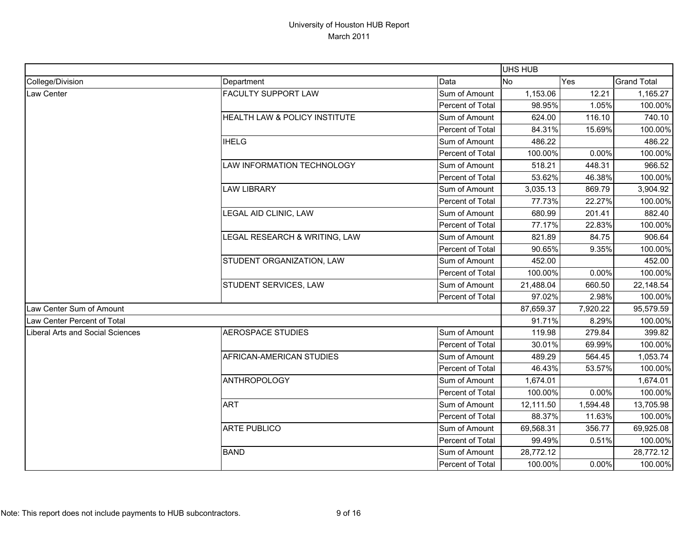|                                  |                               |                  | UHS HUB   |          |                    |
|----------------------------------|-------------------------------|------------------|-----------|----------|--------------------|
| College/Division                 | Department                    | Data             | <b>No</b> | Yes      | <b>Grand Total</b> |
| <b>Law Center</b>                | <b>FACULTY SUPPORT LAW</b>    | Sum of Amount    | 1,153.06  | 12.21    | 1,165.27           |
|                                  |                               | Percent of Total | 98.95%    | 1.05%    | 100.00%            |
|                                  | HEALTH LAW & POLICY INSTITUTE | Sum of Amount    | 624.00    | 116.10   | 740.10             |
|                                  |                               | Percent of Total | 84.31%    | 15.69%   | 100.00%            |
|                                  | <b>IHELG</b>                  | Sum of Amount    | 486.22    |          | 486.22             |
|                                  |                               | Percent of Total | 100.00%   | 0.00%    | 100.00%            |
|                                  | LAW INFORMATION TECHNOLOGY    | Sum of Amount    | 518.21    | 448.31   | 966.52             |
|                                  |                               | Percent of Total | 53.62%    | 46.38%   | 100.00%            |
|                                  | <b>LAW LIBRARY</b>            | Sum of Amount    | 3,035.13  | 869.79   | 3,904.92           |
|                                  |                               | Percent of Total | 77.73%    | 22.27%   | 100.00%            |
|                                  | LEGAL AID CLINIC, LAW         | Sum of Amount    | 680.99    | 201.41   | 882.40             |
|                                  |                               | Percent of Total | 77.17%    | 22.83%   | 100.00%            |
|                                  | LEGAL RESEARCH & WRITING, LAW | Sum of Amount    | 821.89    | 84.75    | 906.64             |
|                                  |                               | Percent of Total | 90.65%    | 9.35%    | 100.00%            |
|                                  | STUDENT ORGANIZATION, LAW     | Sum of Amount    | 452.00    |          | 452.00             |
|                                  |                               | Percent of Total | 100.00%   | 0.00%    | 100.00%            |
|                                  | STUDENT SERVICES, LAW         | Sum of Amount    | 21,488.04 | 660.50   | 22,148.54          |
|                                  |                               | Percent of Total | 97.02%    | 2.98%    | 100.00%            |
| Law Center Sum of Amount         |                               |                  | 87,659.37 | 7,920.22 | 95,579.59          |
| Law Center Percent of Total      |                               |                  | 91.71%    | 8.29%    | 100.00%            |
| Liberal Arts and Social Sciences | <b>AEROSPACE STUDIES</b>      | Sum of Amount    | 119.98    | 279.84   | 399.82             |
|                                  |                               | Percent of Total | 30.01%    | 69.99%   | 100.00%            |
|                                  | AFRICAN-AMERICAN STUDIES      | Sum of Amount    | 489.29    | 564.45   | 1,053.74           |
|                                  |                               | Percent of Total | 46.43%    | 53.57%   | 100.00%            |
|                                  | <b>ANTHROPOLOGY</b>           | Sum of Amount    | 1,674.01  |          | 1,674.01           |
|                                  |                               | Percent of Total | 100.00%   | 0.00%    | 100.00%            |
|                                  | <b>ART</b>                    | Sum of Amount    | 12,111.50 | 1,594.48 | 13,705.98          |
|                                  |                               | Percent of Total | 88.37%    | 11.63%   | 100.00%            |
|                                  | <b>ARTE PUBLICO</b>           | Sum of Amount    | 69,568.31 | 356.77   | 69,925.08          |
|                                  |                               | Percent of Total | 99.49%    | 0.51%    | 100.00%            |
|                                  | <b>BAND</b>                   | Sum of Amount    | 28,772.12 |          | 28,772.12          |
|                                  |                               | Percent of Total | 100.00%   | 0.00%    | 100.00%            |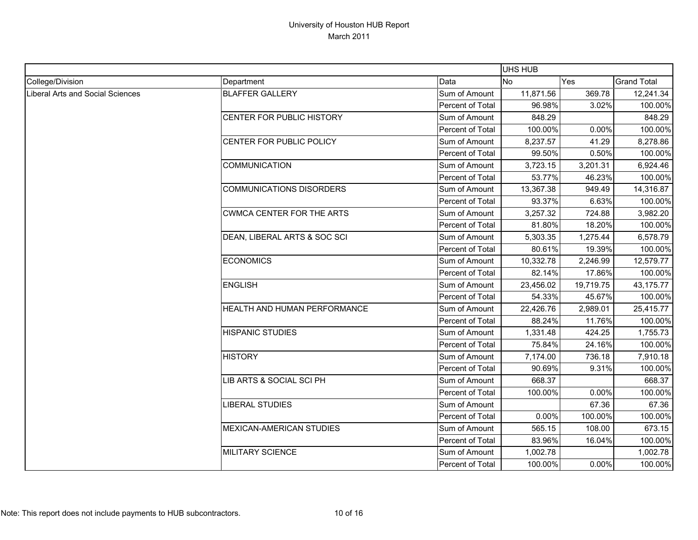|                                         |                                  |                  | UHS HUB   |           |                    |
|-----------------------------------------|----------------------------------|------------------|-----------|-----------|--------------------|
| College/Division                        | Department                       | Data             | <b>No</b> | Yes       | <b>Grand Total</b> |
| <b>Liberal Arts and Social Sciences</b> | <b>BLAFFER GALLERY</b>           | Sum of Amount    | 11,871.56 | 369.78    | 12,241.34          |
|                                         |                                  | Percent of Total | 96.98%    | 3.02%     | 100.00%            |
|                                         | CENTER FOR PUBLIC HISTORY        | Sum of Amount    | 848.29    |           | 848.29             |
|                                         |                                  | Percent of Total | 100.00%   | 0.00%     | 100.00%            |
|                                         | CENTER FOR PUBLIC POLICY         | Sum of Amount    | 8,237.57  | 41.29     | 8,278.86           |
|                                         |                                  | Percent of Total | 99.50%    | 0.50%     | 100.00%            |
|                                         | <b>COMMUNICATION</b>             | Sum of Amount    | 3,723.15  | 3,201.31  | 6,924.46           |
|                                         |                                  | Percent of Total | 53.77%    | 46.23%    | 100.00%            |
|                                         | <b>COMMUNICATIONS DISORDERS</b>  | Sum of Amount    | 13,367.38 | 949.49    | 14,316.87          |
|                                         |                                  | Percent of Total | 93.37%    | 6.63%     | 100.00%            |
|                                         | <b>CWMCA CENTER FOR THE ARTS</b> | Sum of Amount    | 3,257.32  | 724.88    | 3,982.20           |
|                                         |                                  | Percent of Total | 81.80%    | 18.20%    | 100.00%            |
|                                         | DEAN, LIBERAL ARTS & SOC SCI     | Sum of Amount    | 5,303.35  | 1,275.44  | 6,578.79           |
|                                         |                                  | Percent of Total | 80.61%    | 19.39%    | 100.00%            |
|                                         | <b>ECONOMICS</b>                 | Sum of Amount    | 10,332.78 | 2,246.99  | 12,579.77          |
|                                         |                                  | Percent of Total | 82.14%    | 17.86%    | 100.00%            |
|                                         | <b>ENGLISH</b>                   | Sum of Amount    | 23,456.02 | 19,719.75 | 43,175.77          |
|                                         |                                  | Percent of Total | 54.33%    | 45.67%    | 100.00%            |
|                                         | HEALTH AND HUMAN PERFORMANCE     | Sum of Amount    | 22,426.76 | 2,989.01  | 25,415.77          |
|                                         |                                  | Percent of Total | 88.24%    | 11.76%    | 100.00%            |
|                                         | <b>HISPANIC STUDIES</b>          | Sum of Amount    | 1,331.48  | 424.25    | 1,755.73           |
|                                         |                                  | Percent of Total | 75.84%    | 24.16%    | 100.00%            |
|                                         | <b>HISTORY</b>                   | Sum of Amount    | 7,174.00  | 736.18    | 7,910.18           |
|                                         |                                  | Percent of Total | 90.69%    | 9.31%     | 100.00%            |
|                                         | LIB ARTS & SOCIAL SCI PH         | Sum of Amount    | 668.37    |           | 668.37             |
|                                         |                                  | Percent of Total | 100.00%   | 0.00%     | 100.00%            |
|                                         | <b>LIBERAL STUDIES</b>           | Sum of Amount    |           | 67.36     | 67.36              |
|                                         |                                  | Percent of Total | 0.00%     | 100.00%   | 100.00%            |
|                                         | <b>MEXICAN-AMERICAN STUDIES</b>  | Sum of Amount    | 565.15    | 108.00    | 673.15             |
|                                         |                                  | Percent of Total | 83.96%    | 16.04%    | 100.00%            |
|                                         | <b>MILITARY SCIENCE</b>          | Sum of Amount    | 1,002.78  |           | 1,002.78           |
|                                         |                                  | Percent of Total | 100.00%   | 0.00%     | 100.00%            |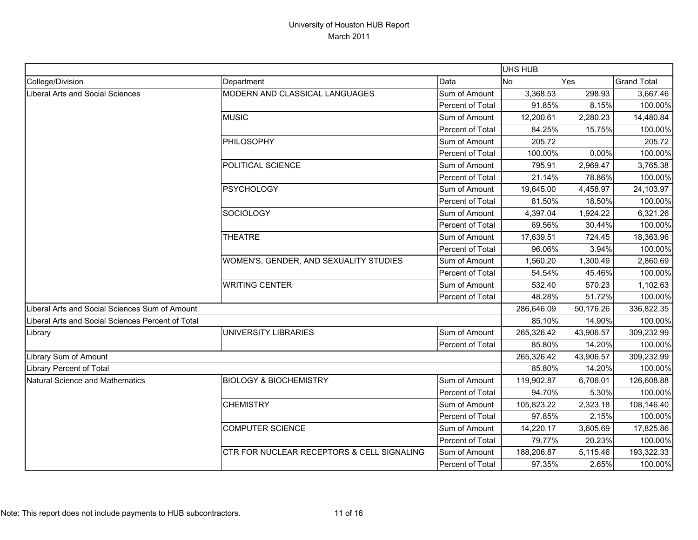|                                                   |                                            |                  | UHS HUB    |           |                    |
|---------------------------------------------------|--------------------------------------------|------------------|------------|-----------|--------------------|
| College/Division                                  | Department                                 | Data             | <b>No</b>  | Yes       | <b>Grand Total</b> |
| Liberal Arts and Social Sciences                  | MODERN AND CLASSICAL LANGUAGES             | Sum of Amount    | 3,368.53   | 298.93    | 3,667.46           |
|                                                   |                                            | Percent of Total | 91.85%     | 8.15%     | 100.00%            |
|                                                   | <b>MUSIC</b>                               | Sum of Amount    | 12,200.61  | 2,280.23  | 14,480.84          |
|                                                   |                                            | Percent of Total | 84.25%     | 15.75%    | 100.00%            |
|                                                   | PHILOSOPHY                                 | Sum of Amount    | 205.72     |           | 205.72             |
|                                                   |                                            | Percent of Total | 100.00%    | 0.00%     | 100.00%            |
|                                                   | POLITICAL SCIENCE                          | Sum of Amount    | 795.91     | 2,969.47  | 3,765.38           |
|                                                   |                                            | Percent of Total | 21.14%     | 78.86%    | 100.00%            |
|                                                   | <b>PSYCHOLOGY</b>                          | Sum of Amount    | 19,645.00  | 4,458.97  | 24,103.97          |
|                                                   |                                            | Percent of Total | 81.50%     | 18.50%    | 100.00%            |
|                                                   | <b>SOCIOLOGY</b>                           | Sum of Amount    | 4,397.04   | 1,924.22  | 6,321.26           |
|                                                   |                                            | Percent of Total | 69.56%     | 30.44%    | 100.00%            |
|                                                   | <b>THEATRE</b>                             | Sum of Amount    | 17,639.51  | 724.45    | 18,363.96          |
|                                                   |                                            | Percent of Total | 96.06%     | 3.94%     | 100.00%            |
|                                                   | WOMEN'S, GENDER, AND SEXUALITY STUDIES     | Sum of Amount    | 1,560.20   | 1,300.49  | 2,860.69           |
|                                                   |                                            | Percent of Total | 54.54%     | 45.46%    | 100.00%            |
|                                                   | <b>WRITING CENTER</b>                      | Sum of Amount    | 532.40     | 570.23    | 1,102.63           |
|                                                   |                                            | Percent of Total | 48.28%     | 51.72%    | 100.00%            |
| Liberal Arts and Social Sciences Sum of Amount    |                                            |                  | 286,646.09 | 50,176.26 | 336,822.35         |
| Liberal Arts and Social Sciences Percent of Total |                                            |                  | 85.10%     | 14.90%    | 100.00%            |
| Library                                           | UNIVERSITY LIBRARIES                       | Sum of Amount    | 265,326.42 | 43,906.57 | 309,232.99         |
|                                                   |                                            | Percent of Total | 85.80%     | 14.20%    | 100.00%            |
| Library Sum of Amount                             |                                            |                  | 265,326.42 | 43,906.57 | 309,232.99         |
| Library Percent of Total                          |                                            |                  | 85.80%     | 14.20%    | 100.00%            |
| Natural Science and Mathematics                   | <b>BIOLOGY &amp; BIOCHEMISTRY</b>          | Sum of Amount    | 119,902.87 | 6,706.01  | 126,608.88         |
|                                                   |                                            | Percent of Total | 94.70%     | 5.30%     | 100.00%            |
|                                                   | <b>CHEMISTRY</b>                           | Sum of Amount    | 105,823.22 | 2,323.18  | 108,146.40         |
|                                                   |                                            | Percent of Total | 97.85%     | 2.15%     | 100.00%            |
|                                                   | <b>COMPUTER SCIENCE</b>                    | Sum of Amount    | 14,220.17  | 3,605.69  | 17,825.86          |
|                                                   |                                            | Percent of Total | 79.77%     | 20.23%    | 100.00%            |
|                                                   | CTR FOR NUCLEAR RECEPTORS & CELL SIGNALING | Sum of Amount    | 188,206.87 | 5,115.46  | 193,322.33         |
|                                                   |                                            | Percent of Total | 97.35%     | 2.65%     | 100.00%            |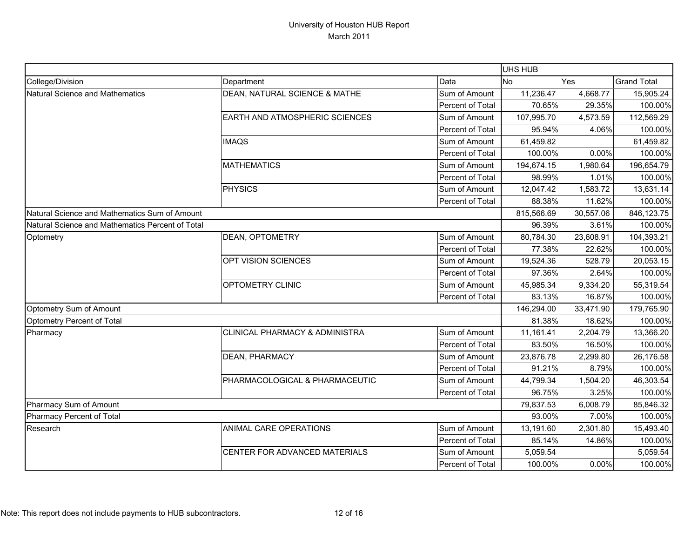|                                                  |                                           |                  | <b>UHS HUB</b> |           |                    |
|--------------------------------------------------|-------------------------------------------|------------------|----------------|-----------|--------------------|
| College/Division                                 | Department                                | Data             | No             | Yes       | <b>Grand Total</b> |
| <b>Natural Science and Mathematics</b>           | DEAN, NATURAL SCIENCE & MATHE             | Sum of Amount    | 11,236.47      | 4,668.77  | 15,905.24          |
|                                                  |                                           | Percent of Total | 70.65%         | 29.35%    | 100.00%            |
|                                                  | EARTH AND ATMOSPHERIC SCIENCES            | Sum of Amount    | 107,995.70     | 4,573.59  | 112,569.29         |
|                                                  |                                           | Percent of Total | 95.94%         | 4.06%     | 100.00%            |
|                                                  | <b>IMAQS</b>                              | Sum of Amount    | 61,459.82      |           | 61,459.82          |
|                                                  |                                           | Percent of Total | 100.00%        | 0.00%     | 100.00%            |
|                                                  | <b>MATHEMATICS</b>                        | Sum of Amount    | 194,674.15     | 1,980.64  | 196,654.79         |
|                                                  |                                           | Percent of Total | 98.99%         | 1.01%     | 100.00%            |
|                                                  | <b>PHYSICS</b>                            | Sum of Amount    | 12,047.42      | 1,583.72  | 13,631.14          |
|                                                  |                                           | Percent of Total | 88.38%         | 11.62%    | 100.00%            |
| Natural Science and Mathematics Sum of Amount    |                                           |                  | 815,566.69     | 30,557.06 | 846,123.75         |
| Natural Science and Mathematics Percent of Total |                                           |                  | 96.39%         | 3.61%     | 100.00%            |
| Optometry                                        | <b>DEAN, OPTOMETRY</b>                    | Sum of Amount    | 80,784.30      | 23,608.91 | 104,393.21         |
|                                                  |                                           | Percent of Total | 77.38%         | 22.62%    | 100.00%            |
|                                                  | OPT VISION SCIENCES                       | Sum of Amount    | 19,524.36      | 528.79    | 20,053.15          |
|                                                  |                                           | Percent of Total | 97.36%         | 2.64%     | 100.00%            |
|                                                  | OPTOMETRY CLINIC                          | Sum of Amount    | 45,985.34      | 9,334.20  | 55,319.54          |
|                                                  |                                           | Percent of Total | 83.13%         | 16.87%    | 100.00%            |
| Optometry Sum of Amount                          |                                           |                  | 146,294.00     | 33,471.90 | 179,765.90         |
| Optometry Percent of Total                       |                                           |                  | 81.38%         | 18.62%    | 100.00%            |
| Pharmacy                                         | <b>CLINICAL PHARMACY &amp; ADMINISTRA</b> | Sum of Amount    | 11,161.41      | 2,204.79  | 13,366.20          |
|                                                  |                                           | Percent of Total | 83.50%         | 16.50%    | 100.00%            |
|                                                  | <b>DEAN, PHARMACY</b>                     | Sum of Amount    | 23,876.78      | 2,299.80  | 26,176.58          |
|                                                  |                                           | Percent of Total | 91.21%         | 8.79%     | 100.00%            |
|                                                  | PHARMACOLOGICAL & PHARMACEUTIC            | Sum of Amount    | 44,799.34      | 1,504.20  | 46,303.54          |
|                                                  |                                           | Percent of Total | 96.75%         | 3.25%     | 100.00%            |
| Pharmacy Sum of Amount                           |                                           |                  | 79,837.53      | 6,008.79  | 85,846.32          |
| Pharmacy Percent of Total                        |                                           |                  | 93.00%         | 7.00%     | 100.00%            |
| Research                                         | ANIMAL CARE OPERATIONS                    | Sum of Amount    | 13,191.60      | 2,301.80  | 15,493.40          |
|                                                  |                                           | Percent of Total | 85.14%         | 14.86%    | 100.00%            |
|                                                  | CENTER FOR ADVANCED MATERIALS             | Sum of Amount    | 5,059.54       |           | 5,059.54           |
|                                                  |                                           | Percent of Total | 100.00%        | 0.00%     | 100.00%            |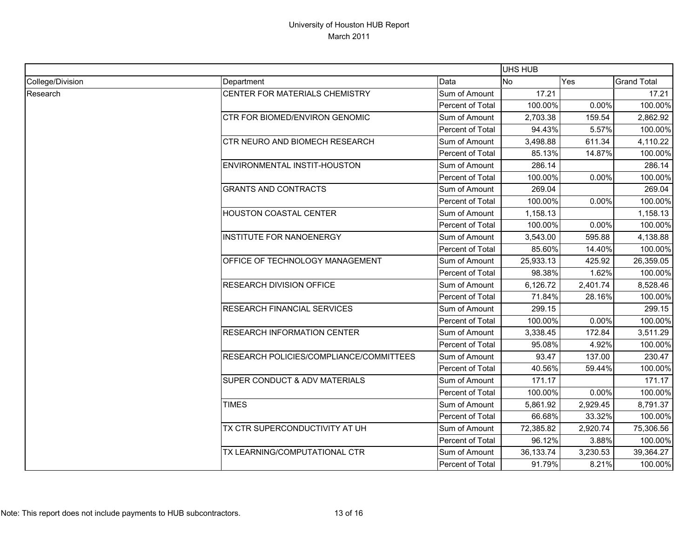|                  |                                          |                  |           | UHS HUB  |                    |  |  |
|------------------|------------------------------------------|------------------|-----------|----------|--------------------|--|--|
| College/Division | Department                               | Data             | <b>No</b> | Yes      | <b>Grand Total</b> |  |  |
| Research         | CENTER FOR MATERIALS CHEMISTRY           | Sum of Amount    | 17.21     |          | 17.21              |  |  |
|                  |                                          | Percent of Total | 100.00%   | 0.00%    | 100.00%            |  |  |
|                  | CTR FOR BIOMED/ENVIRON GENOMIC           | Sum of Amount    | 2,703.38  | 159.54   | 2,862.92           |  |  |
|                  |                                          | Percent of Total | 94.43%    | 5.57%    | 100.00%            |  |  |
|                  | CTR NEURO AND BIOMECH RESEARCH           | Sum of Amount    | 3,498.88  | 611.34   | 4,110.22           |  |  |
|                  |                                          | Percent of Total | 85.13%    | 14.87%   | 100.00%            |  |  |
|                  | ENVIRONMENTAL INSTIT-HOUSTON             | Sum of Amount    | 286.14    |          | 286.14             |  |  |
|                  |                                          | Percent of Total | 100.00%   | 0.00%    | 100.00%            |  |  |
|                  | <b>GRANTS AND CONTRACTS</b>              | Sum of Amount    | 269.04    |          | 269.04             |  |  |
|                  |                                          | Percent of Total | 100.00%   | 0.00%    | 100.00%            |  |  |
|                  | HOUSTON COASTAL CENTER                   | Sum of Amount    | 1,158.13  |          | 1,158.13           |  |  |
|                  |                                          | Percent of Total | 100.00%   | 0.00%    | 100.00%            |  |  |
|                  | <b>INSTITUTE FOR NANOENERGY</b>          | Sum of Amount    | 3,543.00  | 595.88   | 4,138.88           |  |  |
|                  |                                          | Percent of Total | 85.60%    | 14.40%   | 100.00%            |  |  |
|                  | OFFICE OF TECHNOLOGY MANAGEMENT          | Sum of Amount    | 25,933.13 | 425.92   | 26,359.05          |  |  |
|                  |                                          | Percent of Total | 98.38%    | 1.62%    | 100.00%            |  |  |
|                  | <b>RESEARCH DIVISION OFFICE</b>          | Sum of Amount    | 6,126.72  | 2,401.74 | 8,528.46           |  |  |
|                  |                                          | Percent of Total | 71.84%    | 28.16%   | 100.00%            |  |  |
|                  | <b>RESEARCH FINANCIAL SERVICES</b>       | Sum of Amount    | 299.15    |          | 299.15             |  |  |
|                  |                                          | Percent of Total | 100.00%   | 0.00%    | 100.00%            |  |  |
|                  | <b>RESEARCH INFORMATION CENTER</b>       | Sum of Amount    | 3,338.45  | 172.84   | 3,511.29           |  |  |
|                  |                                          | Percent of Total | 95.08%    | 4.92%    | 100.00%            |  |  |
|                  | RESEARCH POLICIES/COMPLIANCE/COMMITTEES  | Sum of Amount    | 93.47     | 137.00   | 230.47             |  |  |
|                  |                                          | Percent of Total | 40.56%    | 59.44%   | 100.00%            |  |  |
|                  | <b>SUPER CONDUCT &amp; ADV MATERIALS</b> | Sum of Amount    | 171.17    |          | 171.17             |  |  |
|                  |                                          | Percent of Total | 100.00%   | 0.00%    | 100.00%            |  |  |
|                  | <b>TIMES</b>                             | Sum of Amount    | 5,861.92  | 2,929.45 | 8,791.37           |  |  |
|                  |                                          | Percent of Total | 66.68%    | 33.32%   | 100.00%            |  |  |
|                  | TX CTR SUPERCONDUCTIVITY AT UH           | Sum of Amount    | 72,385.82 | 2,920.74 | 75,306.56          |  |  |
|                  |                                          | Percent of Total | 96.12%    | 3.88%    | 100.00%            |  |  |
|                  | TX LEARNING/COMPUTATIONAL CTR            | Sum of Amount    | 36,133.74 | 3,230.53 | 39,364.27          |  |  |
|                  |                                          | Percent of Total | 91.79%    | 8.21%    | 100.00%            |  |  |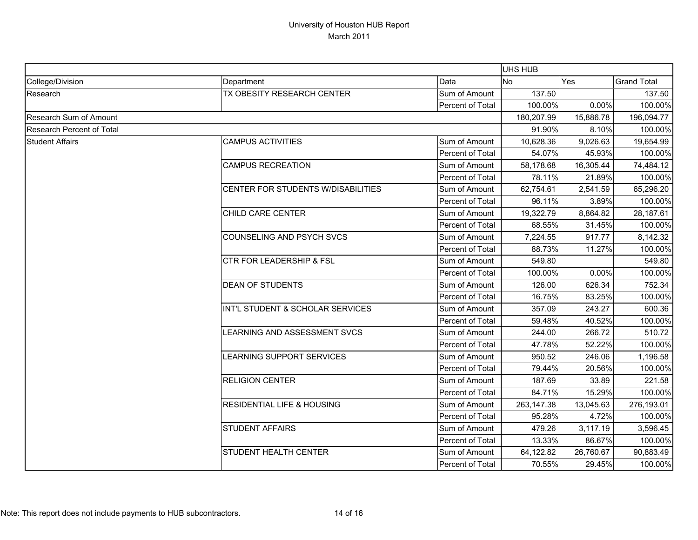|                           |                                       |                  |            | <b>UHS HUB</b> |                    |  |  |
|---------------------------|---------------------------------------|------------------|------------|----------------|--------------------|--|--|
| College/Division          | Department                            | Data             | <b>No</b>  | Yes            | <b>Grand Total</b> |  |  |
| Research                  | TX OBESITY RESEARCH CENTER            | Sum of Amount    | 137.50     |                | 137.50             |  |  |
|                           |                                       | Percent of Total | 100.00%    | 0.00%          | 100.00%            |  |  |
| Research Sum of Amount    |                                       | 180,207.99       | 15,886.78  | 196,094.77     |                    |  |  |
| Research Percent of Total |                                       |                  | 91.90%     | 8.10%          | 100.00%            |  |  |
| <b>Student Affairs</b>    | <b>CAMPUS ACTIVITIES</b>              | Sum of Amount    | 10,628.36  | 9,026.63       | 19,654.99          |  |  |
|                           |                                       | Percent of Total | 54.07%     | 45.93%         | 100.00%            |  |  |
|                           | <b>CAMPUS RECREATION</b>              | Sum of Amount    | 58,178.68  | 16,305.44      | 74,484.12          |  |  |
|                           |                                       | Percent of Total | 78.11%     | 21.89%         | 100.00%            |  |  |
|                           | CENTER FOR STUDENTS W/DISABILITIES    | Sum of Amount    | 62,754.61  | 2,541.59       | 65,296.20          |  |  |
|                           |                                       | Percent of Total | 96.11%     | 3.89%          | 100.00%            |  |  |
|                           | CHILD CARE CENTER                     | Sum of Amount    | 19,322.79  | 8,864.82       | 28,187.61          |  |  |
|                           |                                       | Percent of Total | 68.55%     | 31.45%         | 100.00%            |  |  |
|                           | <b>COUNSELING AND PSYCH SVCS</b>      | Sum of Amount    | 7,224.55   | 917.77         | 8,142.32           |  |  |
|                           |                                       | Percent of Total | 88.73%     | 11.27%         | 100.00%            |  |  |
|                           | <b>CTR FOR LEADERSHIP &amp; FSL</b>   | Sum of Amount    | 549.80     |                | 549.80             |  |  |
|                           |                                       | Percent of Total | 100.00%    | 0.00%          | 100.00%            |  |  |
|                           | <b>DEAN OF STUDENTS</b>               | Sum of Amount    | 126.00     | 626.34         | 752.34             |  |  |
|                           |                                       | Percent of Total | 16.75%     | 83.25%         | 100.00%            |  |  |
|                           | INT'L STUDENT & SCHOLAR SERVICES      | Sum of Amount    | 357.09     | 243.27         | 600.36             |  |  |
|                           |                                       | Percent of Total | 59.48%     | 40.52%         | 100.00%            |  |  |
|                           | LEARNING AND ASSESSMENT SVCS          | Sum of Amount    | 244.00     | 266.72         | 510.72             |  |  |
|                           |                                       | Percent of Total | 47.78%     | 52.22%         | 100.00%            |  |  |
|                           | LEARNING SUPPORT SERVICES             | Sum of Amount    | 950.52     | 246.06         | 1,196.58           |  |  |
|                           |                                       | Percent of Total | 79.44%     | 20.56%         | 100.00%            |  |  |
|                           | <b>RELIGION CENTER</b>                | Sum of Amount    | 187.69     | 33.89          | 221.58             |  |  |
|                           |                                       | Percent of Total | 84.71%     | 15.29%         | 100.00%            |  |  |
|                           | <b>RESIDENTIAL LIFE &amp; HOUSING</b> | Sum of Amount    | 263,147.38 | 13,045.63      | 276,193.01         |  |  |
|                           |                                       | Percent of Total | 95.28%     | 4.72%          | 100.00%            |  |  |
|                           | <b>STUDENT AFFAIRS</b>                | Sum of Amount    | 479.26     | 3,117.19       | 3,596.45           |  |  |
|                           |                                       | Percent of Total | 13.33%     | 86.67%         | 100.00%            |  |  |
|                           | <b>STUDENT HEALTH CENTER</b>          | Sum of Amount    | 64,122.82  | 26,760.67      | 90,883.49          |  |  |
|                           |                                       | Percent of Total | 70.55%     | 29.45%         | 100.00%            |  |  |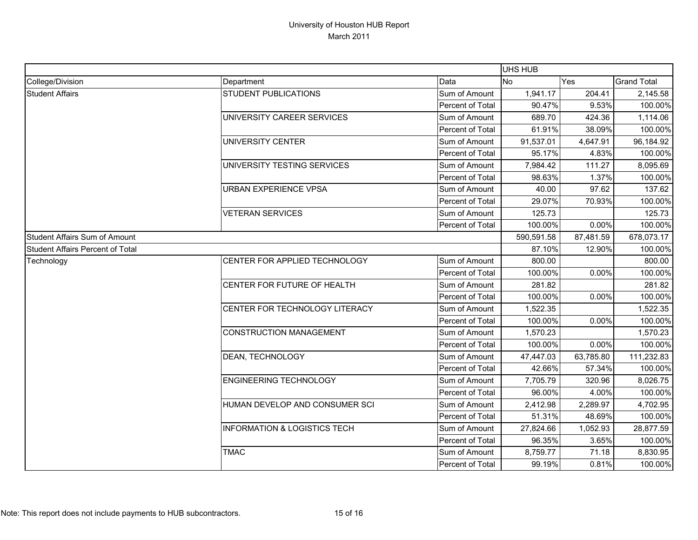|                                  |                                         |                  | UHS HUB          |           |                    |
|----------------------------------|-----------------------------------------|------------------|------------------|-----------|--------------------|
| College/Division                 | Department                              | Data             | <b>No</b><br>Yes |           | <b>Grand Total</b> |
| <b>Student Affairs</b>           | <b>STUDENT PUBLICATIONS</b>             | Sum of Amount    | 1,941.17         | 204.41    | 2,145.58           |
|                                  |                                         | Percent of Total | 90.47%           | 9.53%     | 100.00%            |
|                                  | UNIVERSITY CAREER SERVICES              | Sum of Amount    | 689.70           | 424.36    | 1,114.06           |
|                                  |                                         | Percent of Total | 61.91%           | 38.09%    | 100.00%            |
|                                  | UNIVERSITY CENTER                       | Sum of Amount    | 91,537.01        | 4,647.91  | 96,184.92          |
|                                  |                                         | Percent of Total | 95.17%           | 4.83%     | 100.00%            |
|                                  | UNIVERSITY TESTING SERVICES             | Sum of Amount    | 7,984.42         | 111.27    | 8,095.69           |
|                                  |                                         | Percent of Total | 98.63%           | 1.37%     | 100.00%            |
|                                  | URBAN EXPERIENCE VPSA                   | Sum of Amount    | 40.00            | 97.62     | 137.62             |
|                                  |                                         | Percent of Total | 29.07%           | 70.93%    | 100.00%            |
|                                  | <b>VETERAN SERVICES</b>                 | Sum of Amount    | 125.73           |           | 125.73             |
|                                  |                                         | Percent of Total | 100.00%          | 0.00%     | 100.00%            |
| Student Affairs Sum of Amount    |                                         |                  | 590,591.58       | 87,481.59 | 678,073.17         |
| Student Affairs Percent of Total |                                         |                  | 87.10%           | 12.90%    | 100.00%            |
| Technology                       | CENTER FOR APPLIED TECHNOLOGY           | Sum of Amount    | 800.00           |           | 800.00             |
|                                  |                                         | Percent of Total | 100.00%          | 0.00%     | 100.00%            |
|                                  | CENTER FOR FUTURE OF HEALTH             | Sum of Amount    | 281.82           |           | 281.82             |
|                                  |                                         | Percent of Total | 100.00%          | 0.00%     | 100.00%            |
|                                  | CENTER FOR TECHNOLOGY LITERACY          | Sum of Amount    | 1,522.35         |           | 1,522.35           |
|                                  |                                         | Percent of Total | 100.00%          | 0.00%     | 100.00%            |
|                                  | <b>CONSTRUCTION MANAGEMENT</b>          | Sum of Amount    | 1,570.23         |           | 1,570.23           |
|                                  |                                         | Percent of Total | 100.00%          | 0.00%     | 100.00%            |
|                                  | DEAN, TECHNOLOGY                        | Sum of Amount    | 47,447.03        | 63,785.80 | 111,232.83         |
|                                  |                                         | Percent of Total | 42.66%           | 57.34%    | 100.00%            |
|                                  | <b>ENGINEERING TECHNOLOGY</b>           | Sum of Amount    | 7,705.79         | 320.96    | 8,026.75           |
|                                  |                                         | Percent of Total | 96.00%           | 4.00%     | 100.00%            |
|                                  | HUMAN DEVELOP AND CONSUMER SCI          | Sum of Amount    | 2,412.98         | 2,289.97  | 4,702.95           |
|                                  |                                         | Percent of Total | 51.31%           | 48.69%    | 100.00%            |
|                                  | <b>INFORMATION &amp; LOGISTICS TECH</b> | Sum of Amount    | 27,824.66        | 1,052.93  | 28,877.59          |
|                                  |                                         | Percent of Total | 96.35%           | 3.65%     | 100.00%            |
|                                  | <b>TMAC</b>                             | Sum of Amount    | 8,759.77         | 71.18     | 8,830.95           |
|                                  |                                         | Percent of Total | 99.19%           | 0.81%     | 100.00%            |